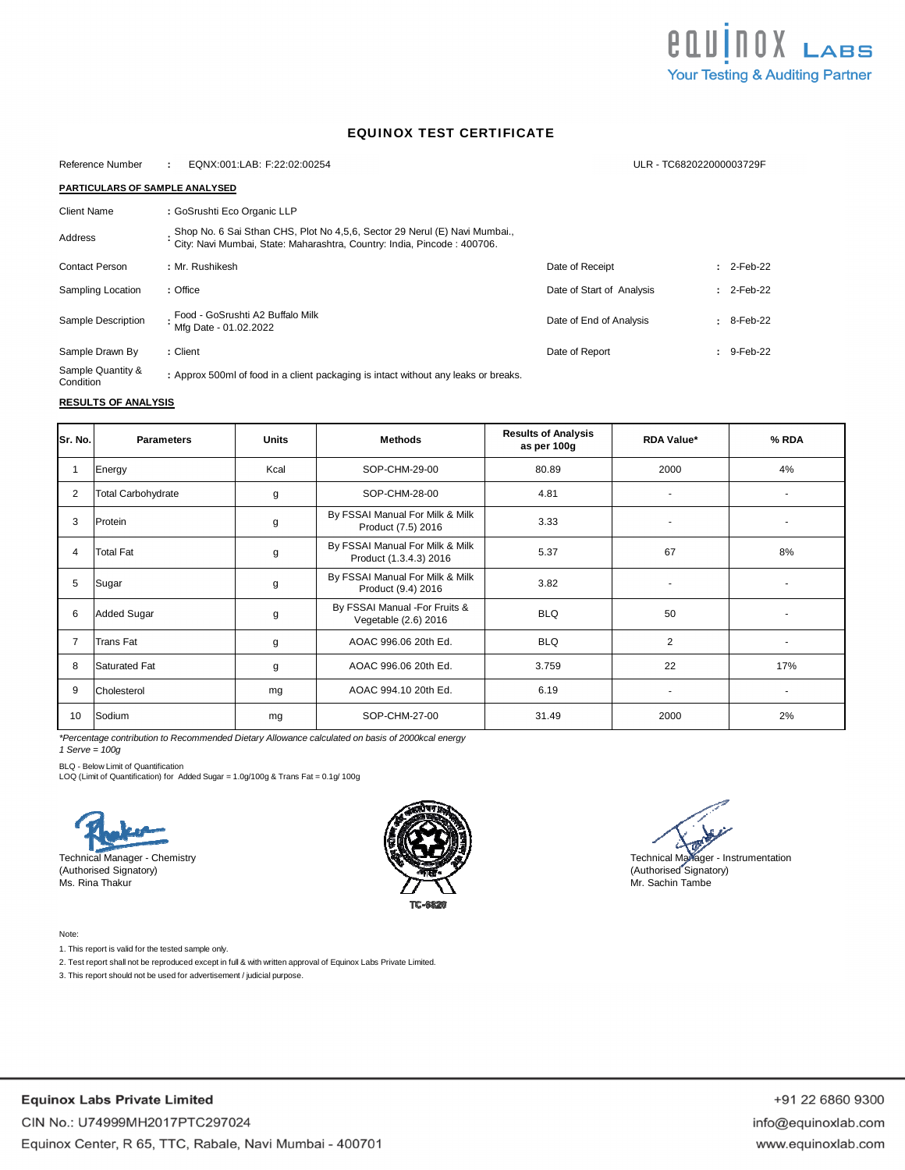

## EQUINOX TEST CERTIFICATE

| Reference Number                      | EQNX:001:LAB: F:22:02:00254<br>$\cdot$                                                                                                                |                           | ULR - TC682022000003729F |  |  |
|---------------------------------------|-------------------------------------------------------------------------------------------------------------------------------------------------------|---------------------------|--------------------------|--|--|
| <b>PARTICULARS OF SAMPLE ANALYSED</b> |                                                                                                                                                       |                           |                          |  |  |
| Client Name                           | : GoSrushti Eco Organic LLP                                                                                                                           |                           |                          |  |  |
| Address                               | Shop No. 6 Sai Sthan CHS, Plot No 4,5,6, Sector 29 Nerul (E) Navi Mumbai.,<br>City: Navi Mumbai, State: Maharashtra, Country: India, Pincode: 400706. |                           |                          |  |  |
| <b>Contact Person</b>                 | : Mr. Rushikesh                                                                                                                                       | Date of Receipt           | $2$ -Feb-22              |  |  |
| Sampling Location                     | : Office                                                                                                                                              | Date of Start of Analysis | $: 2$ -Feb-22            |  |  |
| Sample Description                    | Food - GoSrushti A2 Buffalo Milk<br>Mfg Date - 01.02.2022                                                                                             | Date of End of Analysis   | $: 8-Feb-22$             |  |  |
| Sample Drawn By                       | : Client                                                                                                                                              | Date of Report            | : 9-Feb-22               |  |  |
| Sample Quantity &<br>Condition        | : Approx 500ml of food in a client packaging is intact without any leaks or breaks.                                                                   |                           |                          |  |  |

## **RESULTS OF ANALYSIS**

| Sr. No. | <b>Parameters</b>         | <b>Units</b> | <b>Methods</b>                                            | <b>Results of Analysis</b><br>as per 100g | <b>RDA Value*</b> | % RDA |
|---------|---------------------------|--------------|-----------------------------------------------------------|-------------------------------------------|-------------------|-------|
|         | Energy                    | Kcal         | SOP-CHM-29-00                                             | 80.89                                     | 2000              | 4%    |
| 2       | <b>Total Carbohydrate</b> | g            | SOP-CHM-28-00                                             | 4.81                                      | ٠                 |       |
| 3       | Protein                   | g            | By FSSAI Manual For Milk & Milk<br>Product (7.5) 2016     | 3.33                                      |                   |       |
| 4       | <b>Total Fat</b>          | g            | By FSSAI Manual For Milk & Milk<br>Product (1.3.4.3) 2016 | 5.37                                      | 67                | 8%    |
| 5       | Sugar                     | g            | By FSSAI Manual For Milk & Milk<br>Product (9.4) 2016     | 3.82                                      |                   |       |
| 6       | <b>Added Sugar</b>        | g            | By FSSAI Manual -For Fruits &<br>Vegetable (2.6) 2016     | <b>BLQ</b>                                | 50                |       |
|         | Trans Fat                 | g            | AOAC 996.06 20th Ed.                                      | <b>BLQ</b>                                | 2                 |       |
| 8       | <b>Saturated Fat</b>      | g            | AOAC 996.06 20th Ed.                                      | 3.759                                     | 22                | 17%   |
| 9       | Cholesterol               | mg           | AOAC 994.10 20th Ed.                                      | 6.19                                      | ٠                 |       |
| 10      | Sodium                    | mg           | SOP-CHM-27-00                                             | 31.49                                     | 2000              | 2%    |

*\*Percentage contribution to Recommended Dietary Allowance calculated on basis of 2000kcal energy*

*1 Serve = 100g*

BLQ - Below Limit of Quantification

LOQ (Limit of Quantification) for Added Sugar = 1.0g/100g & Trans Fat = 0.1g/ 100g

Technical Manager - Chemistry (Authorised Signatory) Ms. Rina Thakur



Technical Manager - Instrumentation (Authorised Signatory) Mr. Sachin Tambe

Note:

1. This report is valid for the tested sample only.

2. Test report shall not be reproduced except in full & with written approval of Equinox Labs Private Limited.

3. This report should not be used for advertisement / judicial purpose.

**Equinox Labs Private Limited** CIN No.: U74999MH2017PTC297024 Equinox Center, R 65, TTC, Rabale, Navi Mumbai - 400701